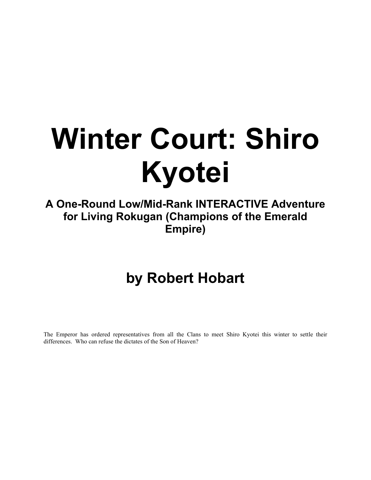# **Winter Court: Shiro Kyotei**

**A One-Round Low/Mid-Rank INTERACTIVE Adventure for Living Rokugan (Champions of the Emerald Empire)** 

## **by Robert Hobart**

The Emperor has ordered representatives from all the Clans to meet Shiro Kyotei this winter to settle their differences. Who can refuse the dictates of the Son of Heaven?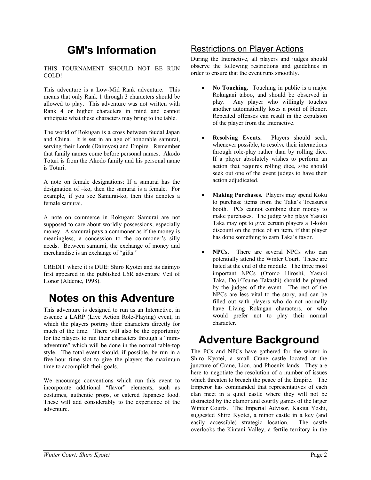## **GM's Information**

THIS TOURNAMENT SHOULD NOT BE RUN COLD!

This adventure is a Low-Mid Rank adventure. This means that only Rank 1 through 3 characters should be allowed to play. This adventure was not written with Rank 4 or higher characters in mind and cannot anticipate what these characters may bring to the table.

The world of Rokugan is a cross between feudal Japan and China. It is set in an age of honorable samurai, serving their Lords (Daimyos) and Empire. Remember that family names come before personal names. Akodo Toturi is from the Akodo family and his personal name is Toturi.

A note on female designations: If a samurai has the designation of –ko, then the samurai is a female. For example, if you see Samurai-ko, then this denotes a female samurai.

A note on commerce in Rokugan: Samurai are not supposed to care about worldly possessions, especially money. A samurai pays a commoner as if the money is meaningless, a concession to the commoner's silly needs. Between samurai, the exchange of money and merchandise is an exchange of "gifts."

CREDIT where it is DUE: Shiro Kyotei and its daimyo first appeared in the published L5R adventure Veil of Honor (Alderac, 1998).

## **Notes on this Adventure**

This adventure is designed to run as an Interactive, in essence a LARP (Live Action Role-Playing) event, in which the players portray their characters directly for much of the time. There will also be the opportunity for the players to run their characters through a "miniadventure" which will be done in the normal table-top style. The total event should, if possible, be run in a five-hour time slot to give the players the maximum time to accomplish their goals.

We encourage conventions which run this event to incorporate additional "flavor" elements, such as costumes, authentic props, or catered Japanese food. These will add considerably to the experience of the adventure.

#### Restrictions on Player Actions

During the Interactive, all players and judges should observe the following restrictions and guidelines in order to ensure that the event runs smoothly.

- **No Touching.** Touching in public is a major Rokugani taboo, and should be observed in play. Any player who willingly touches another automatically loses a point of Honor. Repeated offenses can result in the expulsion of the player from the Interactive.
- **Resolving Events.** Players should seek, whenever possible, to resolve their interactions through role-play rather than by rolling dice. If a player absolutely wishes to perform an action that requires rolling dice, s/he should seek out one of the event judges to have their action adjudicated.
- **Making Purchases.** Players may spend Koku to purchase items from the Taka's Treasures booth. PCs cannot combine their money to make purchases. The judge who plays Yasuki Taka may opt to give certain players a 1-koku discount on the price of an item, if that player has done something to earn Taka's favor.
- **NPCs.** There are several NPCs who can potentially attend the Winter Court. These are listed at the end of the module. The three most important NPCs (Otomo Hiroshi, Yasuki Taka, Doji/Tsume Takashi) should be played by the judges of the event. The rest of the NPCs are less vital to the story, and can be filled out with players who do not normally have Living Rokugan characters, or who would prefer not to play their normal character.

## **Adventure Background**

The PCs and NPCs have gathered for the winter in Shiro Kyotei, a small Crane castle located at the juncture of Crane, Lion, and Phoenix lands. They are here to negotiate the resolution of a number of issues which threaten to breach the peace of the Empire. The Emperor has commanded that representatives of each clan meet in a quiet castle where they will not be distracted by the clamor and courtly games of the larger Winter Courts. The Imperial Advisor, Kakita Yoshi, suggested Shiro Kyotei, a minor castle in a key (and easily accessible) strategic location. The castle overlooks the Kintani Valley, a fertile territory in the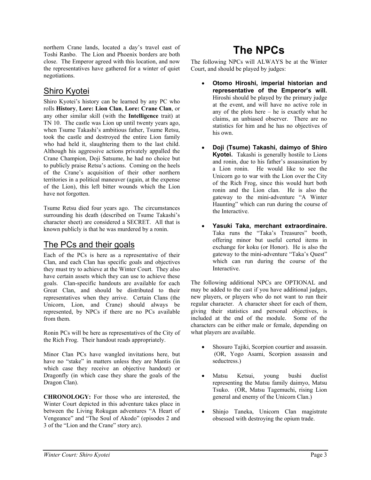northern Crane lands, located a day's travel east of Toshi Ranbo. The Lion and Phoenix borders are both close. The Emperor agreed with this location, and now the representatives have gathered for a winter of quiet negotiations.

#### Shiro Kyotei

Shiro Kyotei's history can be learned by any PC who rolls **History**, **Lore: Lion Clan**, **Lore: Crane Clan**, or any other similar skill (with the **Intelligence** trait) at TN 10. The castle was Lion up until twenty years ago, when Tsume Takashi's ambitious father, Tsume Retsu, took the castle and destroyed the entire Lion family who had held it, slaughtering them to the last child. Although his aggressive actions privately appalled the Crane Champion, Doji Satsume, he had no choice but to publicly praise Retsu's actions. Coming on the heels of the Crane's acquisition of their other northern territories in a political maneuver (again, at the expense of the Lion), this left bitter wounds which the Lion have not forgotten.

Tsume Retsu died four years ago. The circumstances surrounding his death (described on Tsume Takashi's character sheet) are considered a SECRET. All that is known publicly is that he was murdered by a ronin.

#### The PCs and their goals

Each of the PCs is here as a representative of their Clan, and each Clan has specific goals and objectives they must try to achieve at the Winter Court. They also have certain assets which they can use to achieve these goals. Clan-specific handouts are available for each Great Clan, and should be distributed to their representatives when they arrive. Certain Clans (the Unicorn, Lion, and Crane) should always be represented, by NPCs if there are no PCs available from them.

Ronin PCs will be here as representatives of the City of the Rich Frog. Their handout reads appropriately.

Minor Clan PCs have wangled invitations here, but have no "stake" in matters unless they are Mantis (in which case they receive an objective handout) or Dragonfly (in which case they share the goals of the Dragon Clan).

**CHRONOLOGY:** For those who are interested, the Winter Court depicted in this adventure takes place in between the Living Rokugan adventures "A Heart of Vengeance" and "The Soul of Akodo" (episodes 2 and 3 of the "Lion and the Crane" story arc).

## **The NPCs**

The following NPCs will ALWAYS be at the Winter Court, and should be played by judges:

- **Otomo Hiroshi, imperial historian and representative of the Emperor's will.** Hiroshi should be played by the primary judge at the event, and will have no active role in any of the plots here – he is exactly what he claims, an unbiased observer. There are no statistics for him and he has no objectives of his own.
- **Doji (Tsume) Takashi, daimyo of Shiro Kyotei.** Takashi is generally hostile to Lions and ronin, due to his father's assassination by a Lion ronin. He would like to see the Unicorn go to war with the Lion over the City of the Rich Frog, since this would hurt both ronin and the Lion clan. He is also the gateway to the mini-adventure "A Winter Haunting" which can run during the course of the Interactive.
- **Yasuki Taka, merchant extraordinaire.** Taka runs the "Taka's Treasures" booth, offering minor but useful certed items in exchange for koku (or Honor). He is also the gateway to the mini-adventure "Taka's Quest" which can run during the course of the Interactive.

The following additional NPCs are OPTIONAL and may be added to the cast if you have additional judges, new players, or players who do not want to run their regular character. A character sheet for each of them, giving their statistics and personal objectives, is included at the end of the module. Some of the characters can be either male or female, depending on what players are available.

- Shosuro Tajiki, Scorpion courtier and assassin. (OR, Yogo Asami, Scorpion assassin and seductress.)
- Matsu Ketsui, young bushi duelist representing the Matsu family daimyo, Matsu Tsuko. (OR, Matsu Tagemuchi, rising Lion general and enemy of the Unicorn Clan.)
- Shinjo Taneka, Unicorn Clan magistrate obsessed with destroying the opium trade.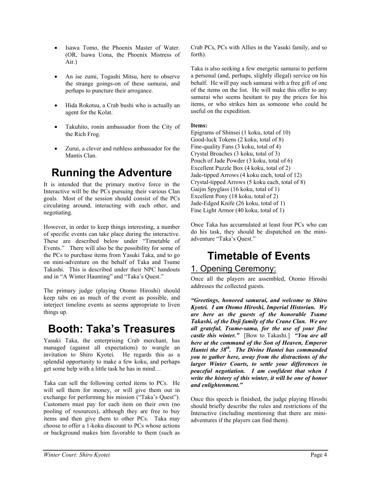- Isawa Tomo, the Phoenix Master of Water. (OR, Isawa Uona, the Phoenix Mistress of Air.)
- An ise zumi, Togashi Mitsu, here to observe the strange goings-on of these samurai, and perhaps to puncture their arrogance.
- Hida Rokotsu, a Crab bushi who is actually an agent for the Kolat.
- Takuhito, ronin ambassador from the City of the Rich Frog.
- Zurui, a clever and ruthless ambassador for the Mantis Clan.

## **Running the Adventure**

It is intended that the primary motive force in the Interactive will be the PCs pursuing their various Clan goals. Most of the session should consist of the PCs circulating around, interacting with each other, and negotiating.

However, in order to keep things interesting, a number of specific events can take place during the interactive. These are described below under "Timetable of Events." There will also be the possibility for some of the PCs to purchase items from Yasuki Taka, and to go on mini-adventure on the behalf of Taka and Tsume Takashi. This is described under their NPC handouts and in "A Winter Haunting" and "Taka's Quest."

The primary judge (playing Otomo Hiroshi) should keep tabs on as much of the event as possible, and interject timeline events as seems appropriate to liven things up.

## **Booth: Taka's Treasures**

Yasuki Taka, the enterprising Crab merchant, has managed (against all expectations) to wangle an invitation to Shiro Kyotei. He regards this as a splendid opportunity to make a few koku, and perhaps get some help with a little task he has in mind…

Taka can sell the following certed items to PCs. He will sell them for money, or will give them out in exchange for performing his mission ("Taka's Quest"). Customers must pay for each item on their own (no pooling of resources), although they are free to buy items and then give them to other PCs. Taka may choose to offer a 1-koku discount to PCs whose actions or background makes him favorable to them (such as

Crab PCs, PCs with Allies in the Yasuki family, and so forth).

Taka is also seeking a few energetic samurai to perform a personal (and, perhaps, slightly illegal) service on his behalf. He will pay such samurai with a free gift of one of the items on the list. He will make this offer to any samurai who seems hesitant to pay the prices for his items, or who strikes him as someone who could be useful on the expedition.

#### **Items:**

Epigrams of Shinsei (1 koku, total of 10) Good-luck Tokens (2 koku, total of 8) Fine-quality Fans (3 koku, total of 4) Crystal Broaches (3 koku, total of 3) Pouch of Jade Powder (3 koku, total of 6) Excellent Puzzle Box (4 koku, total of 2) Jade-tipped Arrows (4 koku each, total of 12) Crystal-tipped Arrows (5 koku each, total of 8) Gaijin Spyglass (16 koku, total of 1) Excellent Pony (18 koku, total of 2) Jade-Edged Knife (26 koku, total of 1) Fine Light Armor (40 koku, total of 1)

Once Taka has accumulated at least four PCs who can do his task, they should be dispatched on the miniadventure "Taka's Quest."

## **Timetable of Events**

#### 1. Opening Ceremony:

Once all the players are assembled, Otomo Hiroshi addresses the collected guests.

*"Greetings, honored samurai, and welcome to Shiro Kyotei. I am Otomo Hiroshi, Imperial Historian. We are here as the guests of the honorable Tsume Takashi, of the Doji family of the Crane Clan. We are all grateful, Tsume-sama, for the use of your fine castle this winter."* [Bow to Takashi.] *"You are all here at the command of the Son of Heaven, Emperor Hantei the 38th. The Divine Hantei has commanded you to gather here, away from the distractions of the larger Winter Courts, to settle your differences in peaceful negotiation. I am confident that when I write the history of this winter, it will be one of honor and enlightenment."* 

Once this speech is finished, the judge playing Hiroshi should briefly describe the rules and restrictions of the Interactive (including mentioning that there are miniadventures if the players can find them).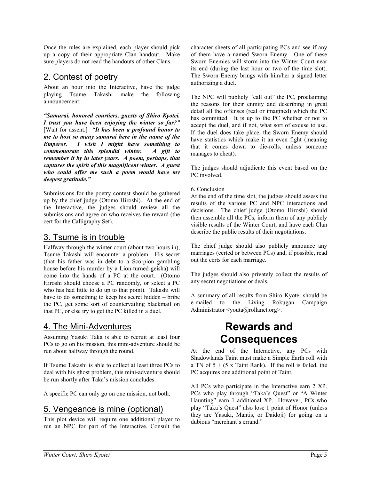Once the rules are explained, each player should pick up a copy of their appropriate Clan handout. Make sure players do not read the handouts of other Clans.

### 2. Contest of poetry

About an hour into the Interactive, have the judge playing Tsume Takashi make the following announcement:

*"Samurai, honored courtiers, guests of Shiro Kyotei. I trust you have been enjoying the winter so far?"* [Wait for assent.] *"It has been a profound honor to me to host so many samurai here in the name of the Emperor. I wish I might have something to commemorate this splendid winter. A gift to remember it by in later years. A poem, perhaps, that captures the spirit of this magnificent winter. A guest who could offer me such a poem would have my deepest gratitude."* 

Submissions for the poetry contest should be gathered up by the chief judge (Otomo Hiroshi). At the end of the Interactive, the judges should review all the submissions and agree on who receives the reward (the cert for the Calligraphy Set).

### 3. Tsume is in trouble

Halfway through the winter court (about two hours in), Tsume Takashi will encounter a problem. His secret (that his father was in debt to a Scorpion gambling house before his murder by a Lion-turned-geisha) will come into the hands of a PC at the court. (Otomo Hiroshi should choose a PC randomly, or select a PC who has had little to do up to that point). Takashi will have to do something to keep his secret hidden – bribe the PC, get some sort of countervailing blackmail on that PC, or else try to get the PC killed in a duel.

#### 4. The Mini-Adventures

Assuming Yasuki Taka is able to recruit at least four PCs to go on his mission, this mini-adventure should be run about halfway through the round.

If Tsume Takashi is able to collect at least three PCs to deal with his ghost problem, this mini-adventure should be run shortly after Taka's mission concludes.

A specific PC can only go on one mission, not both.

#### 5. Vengeance is mine (optional)

This plot device will require one additional player to run an NPC for part of the Interactive. Consult the character sheets of all participating PCs and see if any of them have a named Sworn Enemy. One of these Sworn Enemies will storm into the Winter Court near its end (during the last hour or two of the time slot). The Sworn Enemy brings with him/her a signed letter authorizing a duel.

The NPC will publicly "call out" the PC, proclaiming the reasons for their enmity and describing in great detail all the offenses (real or imagined) which the PC has committed. It is up to the PC whether or not to accept the duel, and if not, what sort of excuse to use. If the duel does take place, the Sworn Enemy should have statistics which make it an even fight (meaning that it comes down to die-rolls, unless someone manages to cheat).

The judges should adjudicate this event based on the PC involved.

6. Conclusion

At the end of the time slot, the judges should assess the results of the various PC and NPC interactions and decisions. The chief judge (Otomo Hiroshi) should then assemble all the PCs, inform them of any publicly visible results of the Winter Court, and have each Clan describe the public results of their negotiations.

The chief judge should also publicly announce any marriages (certed or between PCs) and, if possible, read out the certs for each marriage.

The judges should also privately collect the results of any secret negotiations or deals.

A summary of all results from Shiro Kyotei should be e-mailed to the Living Rokugan Campaign Administrator <youta@rollanet.org>.

## **Rewards and Consequences**

At the end of the Interactive, any PCs with Shadowlands Taint must make a Simple Earth roll with a TN of  $5 + (5 \times$  Taint Rank). If the roll is failed, the PC acquires one additional point of Taint.

All PCs who participate in the Interactive earn 2 XP. PCs who play through "Taka's Quest" or "A Winter Haunting" earn 1 additional XP. However, PCs who play "Taka's Quest" also lose 1 point of Honor (unless they are Yasuki, Mantis, or Daidoji) for going on a dubious "merchant's errand."